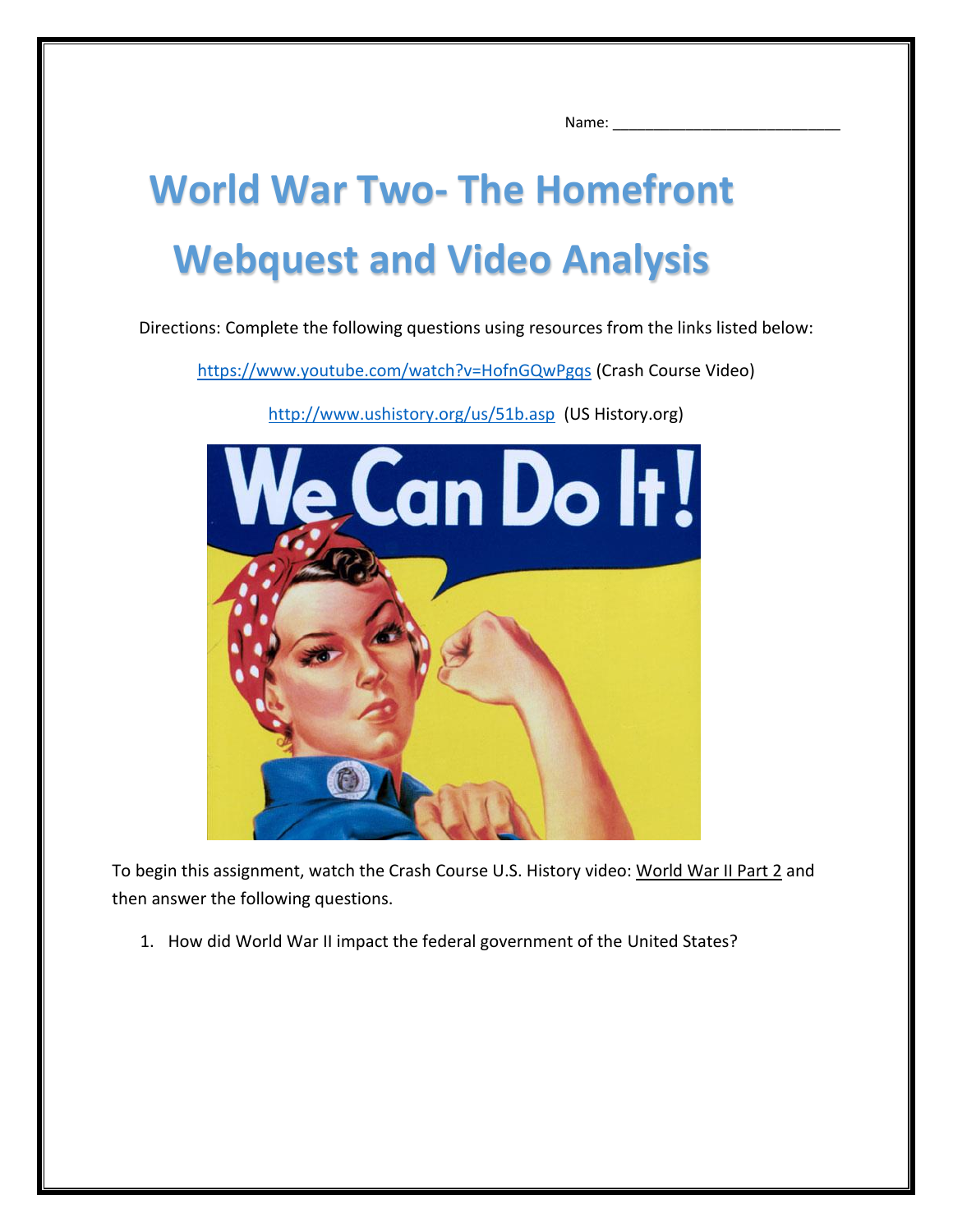Name:

## **World War Two- The Homefront Webquest and Video Analysis**

Directions: Complete the following questions using resources from the links listed below:

<https://www.youtube.com/watch?v=HofnGQwPgqs> (Crash Course Video)



<http://www.ushistory.org/us/51b.asp> (US History.org)

To begin this assignment, watch the Crash Course U.S. History video: World War II Part 2 and then answer the following questions.

1. How did World War II impact the federal government of the United States?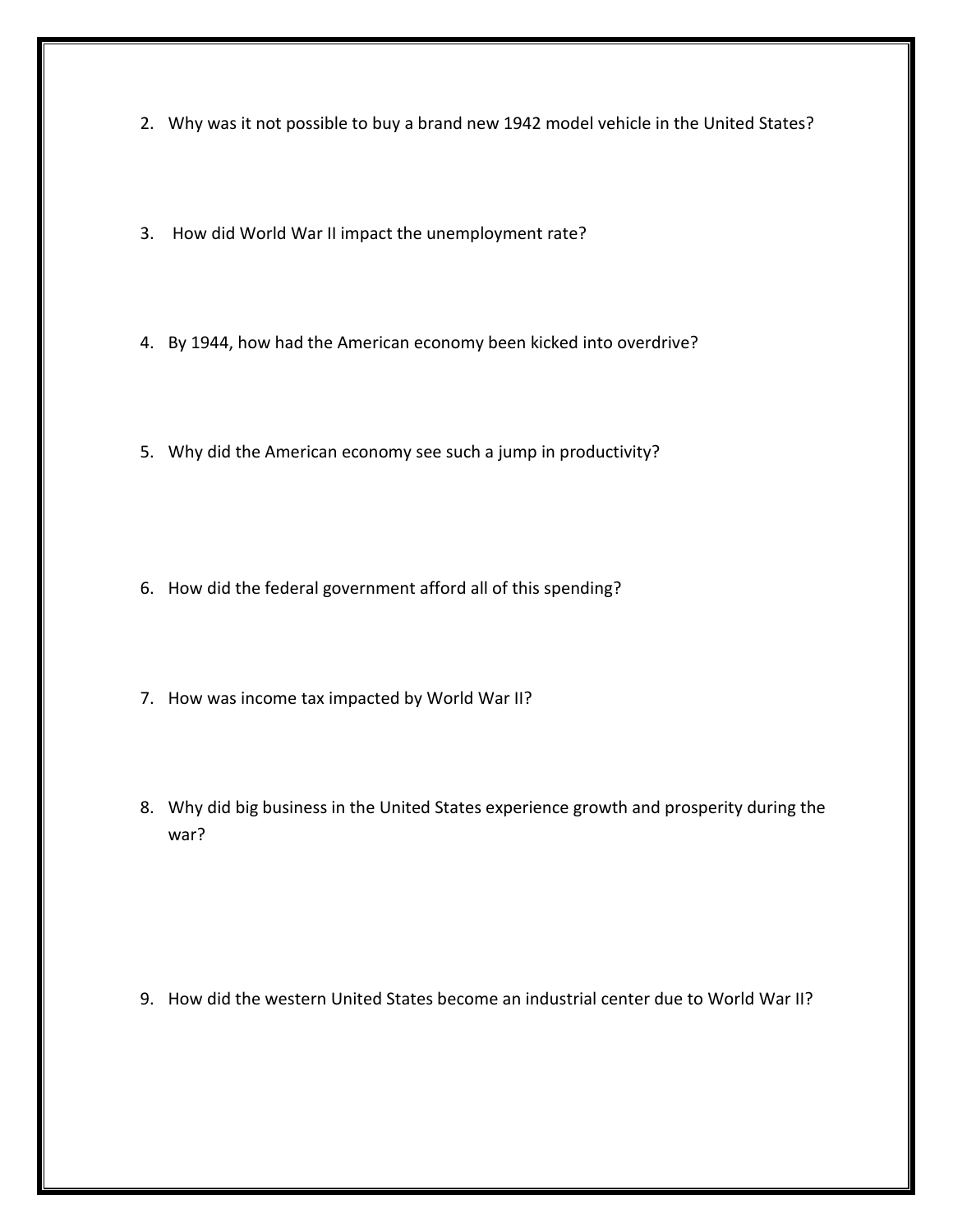- 2. Why was it not possible to buy a brand new 1942 model vehicle in the United States?
- 3. How did World War II impact the unemployment rate?
- 4. By 1944, how had the American economy been kicked into overdrive?
- 5. Why did the American economy see such a jump in productivity?
- 6. How did the federal government afford all of this spending?
- 7. How was income tax impacted by World War II?
- 8. Why did big business in the United States experience growth and prosperity during the war?

9. How did the western United States become an industrial center due to World War II?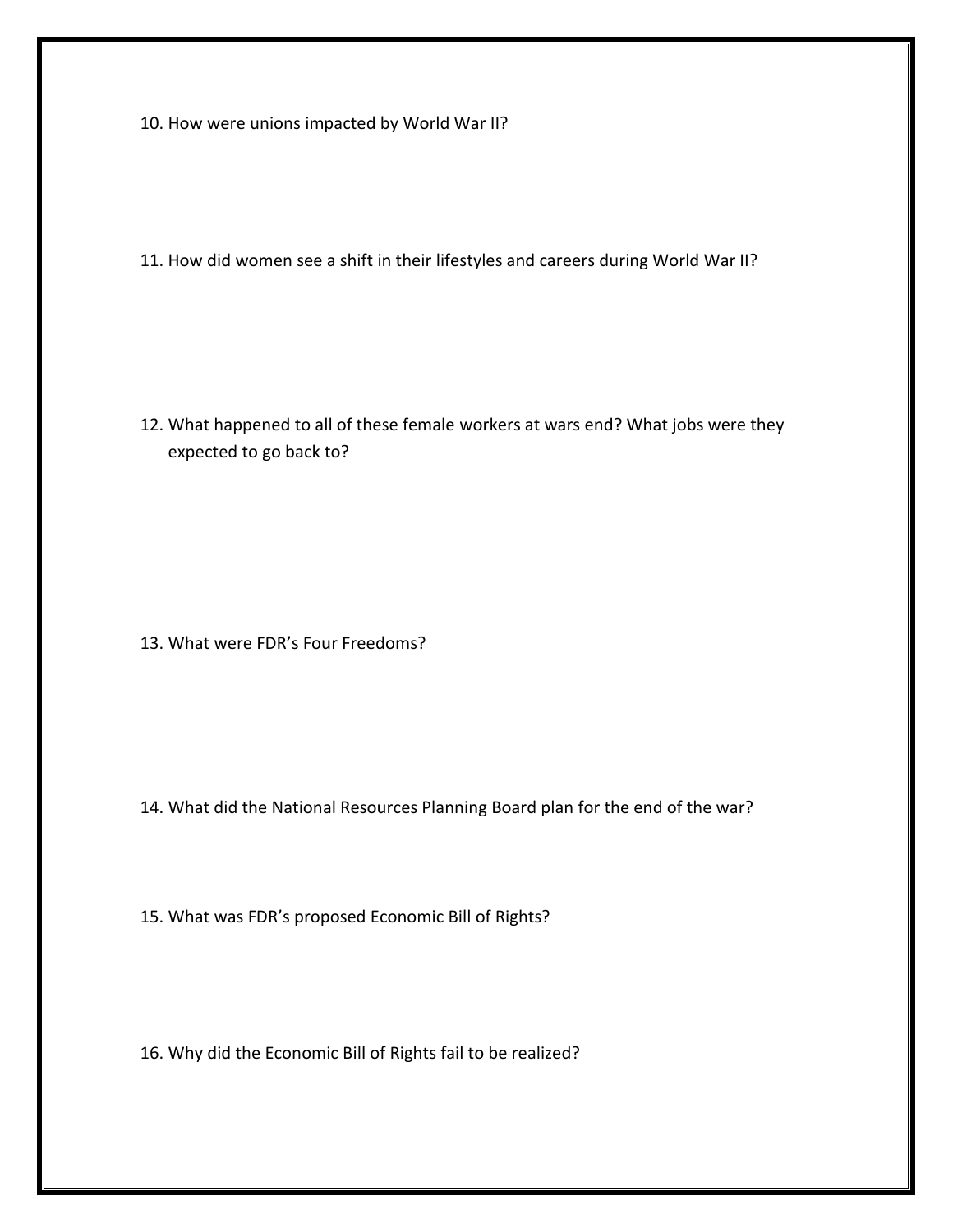10. How were unions impacted by World War II?

11. How did women see a shift in their lifestyles and careers during World War II?

12. What happened to all of these female workers at wars end? What jobs were they expected to go back to?

13. What were FDR's Four Freedoms?

14. What did the National Resources Planning Board plan for the end of the war?

15. What was FDR's proposed Economic Bill of Rights?

16. Why did the Economic Bill of Rights fail to be realized?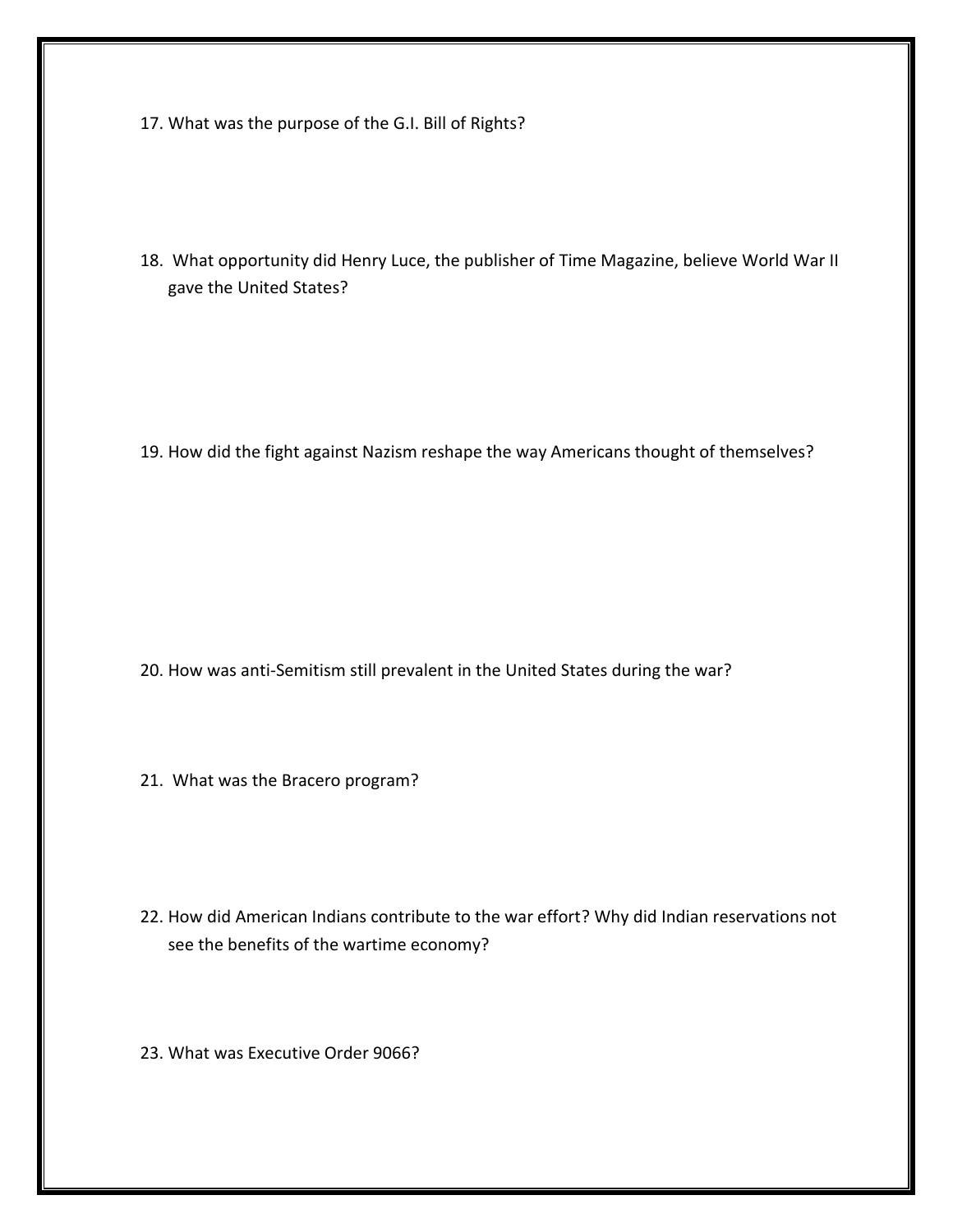- 17. What was the purpose of the G.I. Bill of Rights?
- 18. What opportunity did Henry Luce, the publisher of Time Magazine, believe World War II gave the United States?

19. How did the fight against Nazism reshape the way Americans thought of themselves?

- 20. How was anti-Semitism still prevalent in the United States during the war?
- 21. What was the Bracero program?
- 22. How did American Indians contribute to the war effort? Why did Indian reservations not see the benefits of the wartime economy?
- 23. What was Executive Order 9066?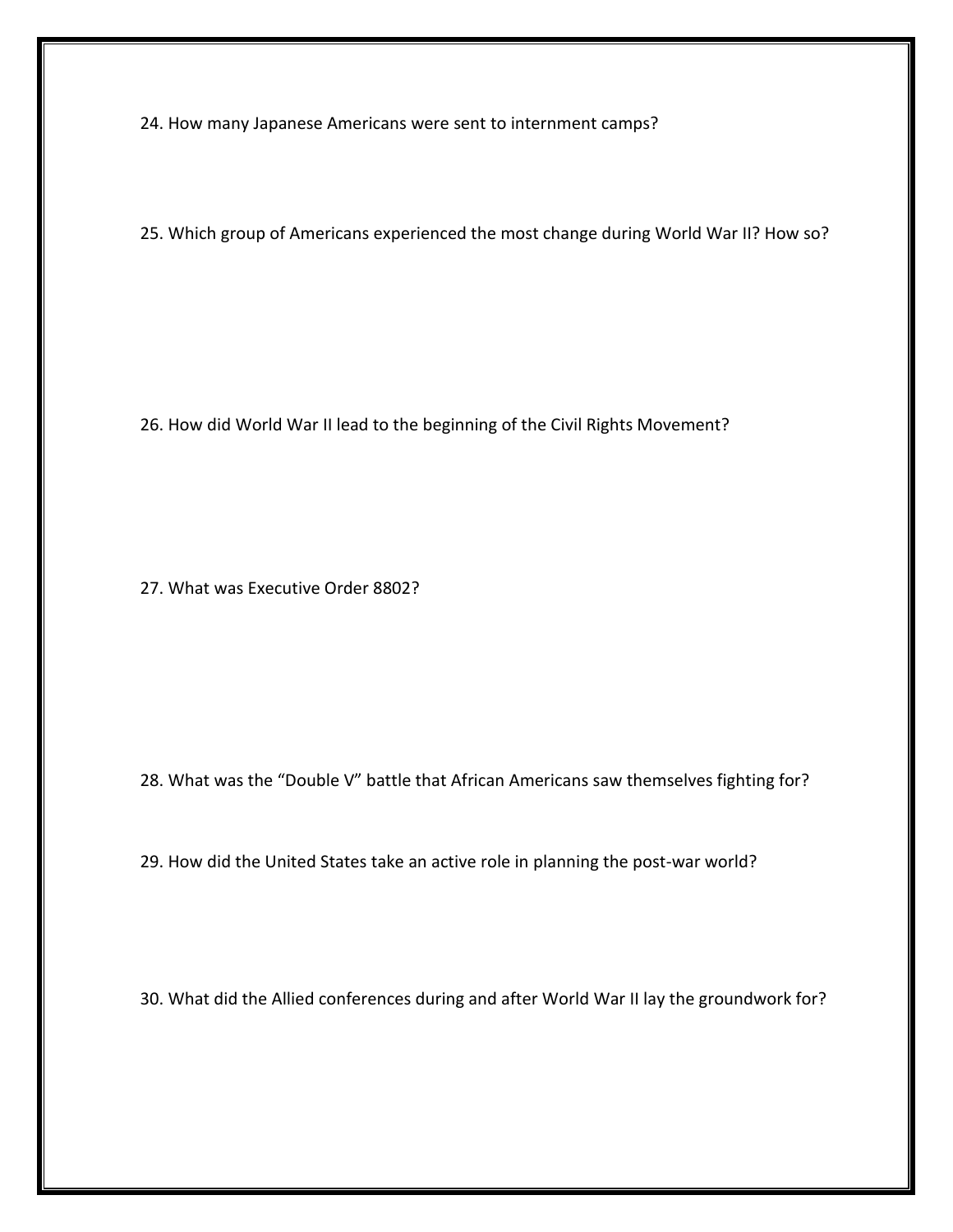24. How many Japanese Americans were sent to internment camps?

25. Which group of Americans experienced the most change during World War II? How so?

26. How did World War II lead to the beginning of the Civil Rights Movement?

27. What was Executive Order 8802?

28. What was the "Double V" battle that African Americans saw themselves fighting for?

29. How did the United States take an active role in planning the post-war world?

30. What did the Allied conferences during and after World War II lay the groundwork for?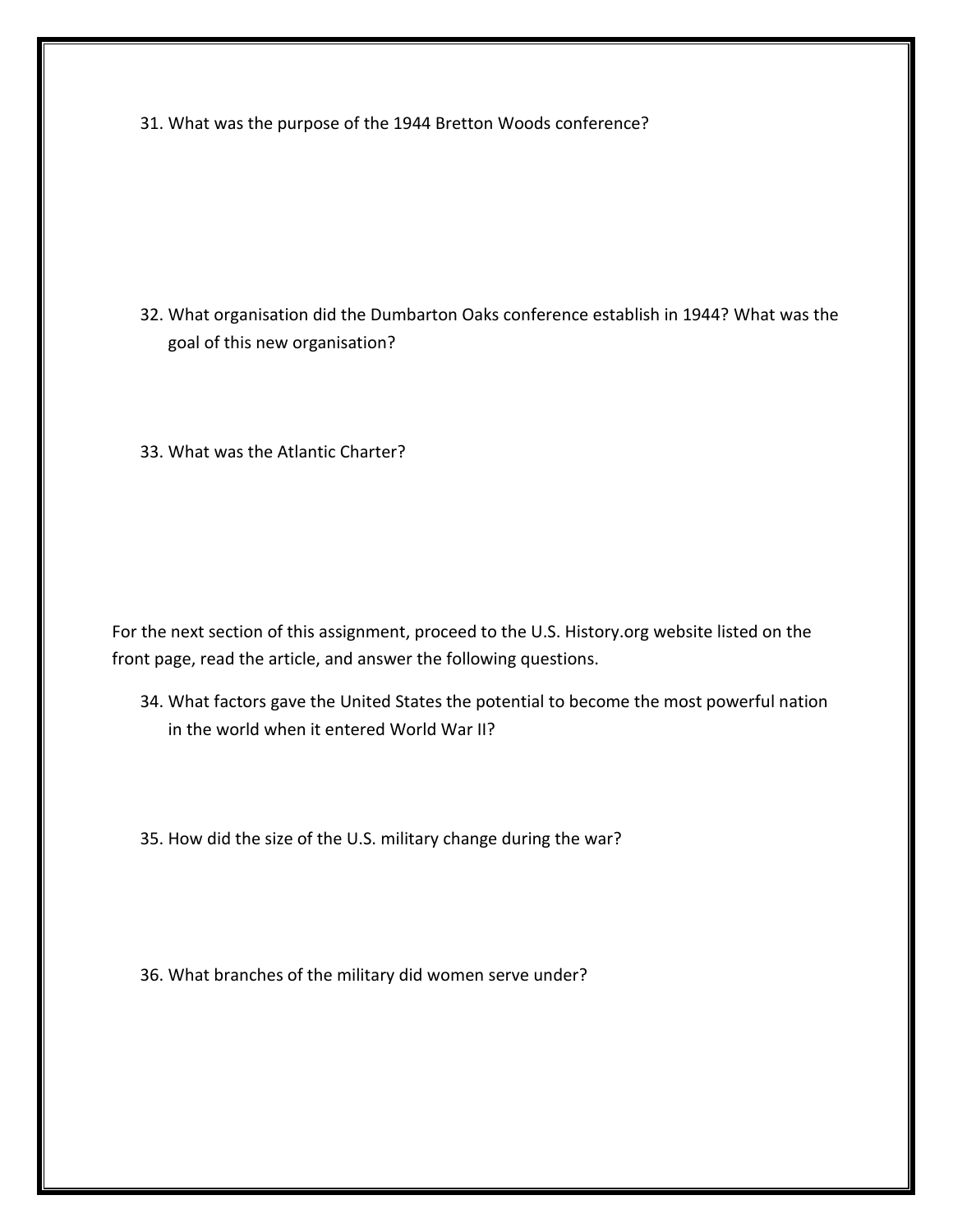31. What was the purpose of the 1944 Bretton Woods conference?

32. What organisation did the Dumbarton Oaks conference establish in 1944? What was the goal of this new organisation?

33. What was the Atlantic Charter?

For the next section of this assignment, proceed to the U.S. History.org website listed on the front page, read the article, and answer the following questions.

34. What factors gave the United States the potential to become the most powerful nation in the world when it entered World War II?

35. How did the size of the U.S. military change during the war?

36. What branches of the military did women serve under?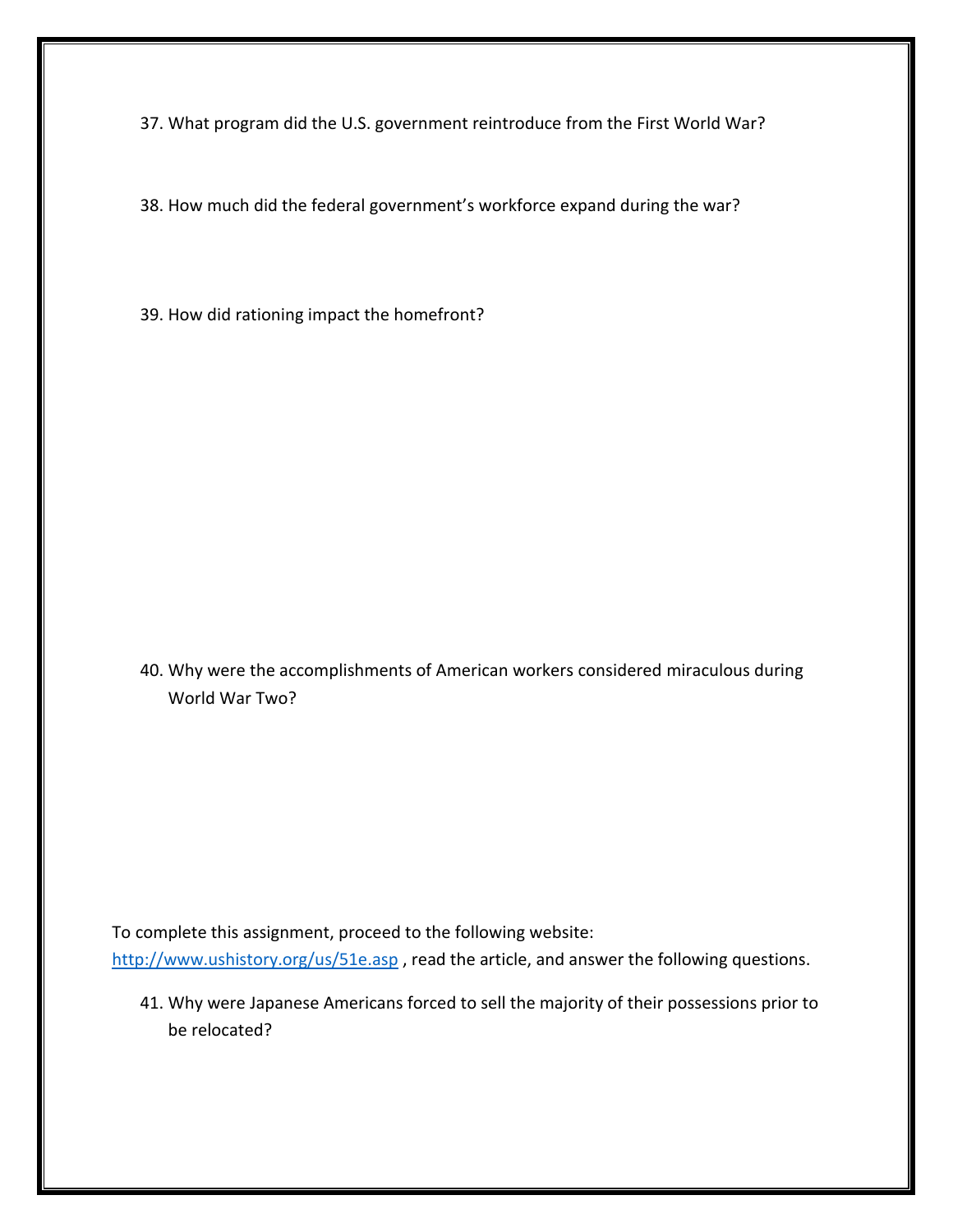37. What program did the U.S. government reintroduce from the First World War?

38. How much did the federal government's workforce expand during the war?

39. How did rationing impact the homefront?

40. Why were the accomplishments of American workers considered miraculous during World War Two?

To complete this assignment, proceed to the following website:

<http://www.ushistory.org/us/51e.asp> , read the article, and answer the following questions.

41. Why were Japanese Americans forced to sell the majority of their possessions prior to be relocated?